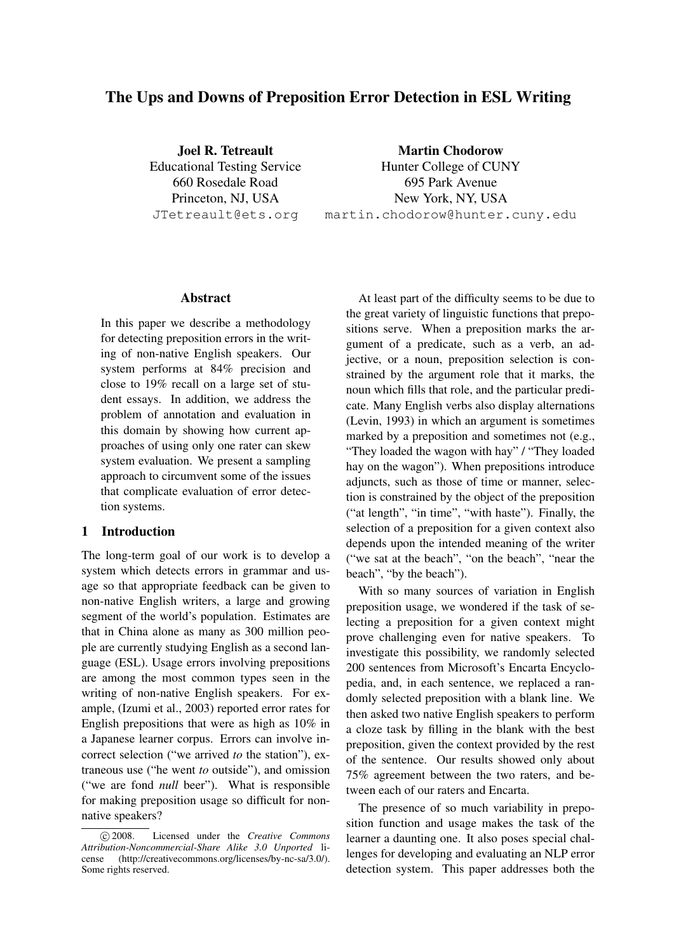# The Ups and Downs of Preposition Error Detection in ESL Writing

Joel R. Tetreault Educational Testing Service 660 Rosedale Road Princeton, NJ, USA JTetreault@ets.org

Martin Chodorow Hunter College of CUNY 695 Park Avenue New York, NY, USA martin.chodorow@hunter.cuny.edu

#### Abstract

In this paper we describe a methodology for detecting preposition errors in the writing of non-native English speakers. Our system performs at 84% precision and close to 19% recall on a large set of student essays. In addition, we address the problem of annotation and evaluation in this domain by showing how current approaches of using only one rater can skew system evaluation. We present a sampling approach to circumvent some of the issues that complicate evaluation of error detection systems.

#### 1 Introduction

The long-term goal of our work is to develop a system which detects errors in grammar and usage so that appropriate feedback can be given to non-native English writers, a large and growing segment of the world's population. Estimates are that in China alone as many as 300 million people are currently studying English as a second language (ESL). Usage errors involving prepositions are among the most common types seen in the writing of non-native English speakers. For example, (Izumi et al., 2003) reported error rates for English prepositions that were as high as 10% in a Japanese learner corpus. Errors can involve incorrect selection ("we arrived *to* the station"), extraneous use ("he went *to* outside"), and omission ("we are fond *null* beer"). What is responsible for making preposition usage so difficult for nonnative speakers?

At least part of the difficulty seems to be due to the great variety of linguistic functions that prepositions serve. When a preposition marks the argument of a predicate, such as a verb, an adjective, or a noun, preposition selection is constrained by the argument role that it marks, the noun which fills that role, and the particular predicate. Many English verbs also display alternations (Levin, 1993) in which an argument is sometimes marked by a preposition and sometimes not (e.g., "They loaded the wagon with hay" / "They loaded hay on the wagon"). When prepositions introduce adjuncts, such as those of time or manner, selection is constrained by the object of the preposition ("at length", "in time", "with haste"). Finally, the selection of a preposition for a given context also depends upon the intended meaning of the writer ("we sat at the beach", "on the beach", "near the beach", "by the beach").

With so many sources of variation in English preposition usage, we wondered if the task of selecting a preposition for a given context might prove challenging even for native speakers. To investigate this possibility, we randomly selected 200 sentences from Microsoft's Encarta Encyclopedia, and, in each sentence, we replaced a randomly selected preposition with a blank line. We then asked two native English speakers to perform a cloze task by filling in the blank with the best preposition, given the context provided by the rest of the sentence. Our results showed only about 75% agreement between the two raters, and between each of our raters and Encarta.

The presence of so much variability in preposition function and usage makes the task of the learner a daunting one. It also poses special challenges for developing and evaluating an NLP error detection system. This paper addresses both the

c 2008. Licensed under the *Creative Commons Attribution-Noncommercial-Share Alike 3.0 Unported* license (http://creativecommons.org/licenses/by-nc-sa/3.0/). Some rights reserved.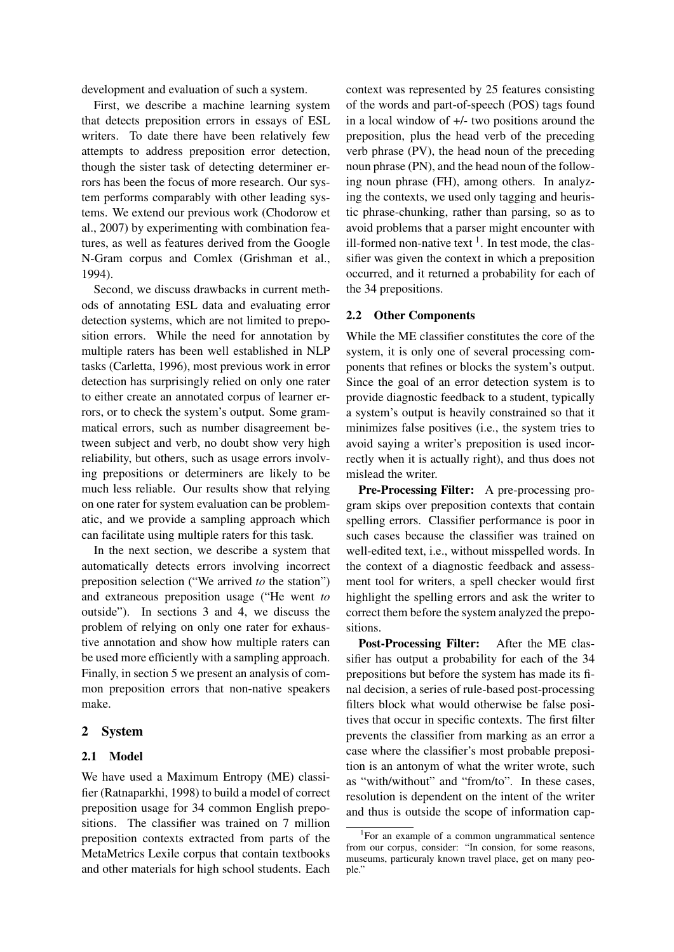development and evaluation of such a system.

First, we describe a machine learning system that detects preposition errors in essays of ESL writers. To date there have been relatively few attempts to address preposition error detection, though the sister task of detecting determiner errors has been the focus of more research. Our system performs comparably with other leading systems. We extend our previous work (Chodorow et al., 2007) by experimenting with combination features, as well as features derived from the Google N-Gram corpus and Comlex (Grishman et al., 1994).

Second, we discuss drawbacks in current methods of annotating ESL data and evaluating error detection systems, which are not limited to preposition errors. While the need for annotation by multiple raters has been well established in NLP tasks (Carletta, 1996), most previous work in error detection has surprisingly relied on only one rater to either create an annotated corpus of learner errors, or to check the system's output. Some grammatical errors, such as number disagreement between subject and verb, no doubt show very high reliability, but others, such as usage errors involving prepositions or determiners are likely to be much less reliable. Our results show that relying on one rater for system evaluation can be problematic, and we provide a sampling approach which can facilitate using multiple raters for this task.

In the next section, we describe a system that automatically detects errors involving incorrect preposition selection ("We arrived *to* the station") and extraneous preposition usage ("He went *to* outside"). In sections 3 and 4, we discuss the problem of relying on only one rater for exhaustive annotation and show how multiple raters can be used more efficiently with a sampling approach. Finally, in section 5 we present an analysis of common preposition errors that non-native speakers make.

#### 2 System

#### 2.1 Model

We have used a Maximum Entropy (ME) classifier (Ratnaparkhi, 1998) to build a model of correct preposition usage for 34 common English prepositions. The classifier was trained on 7 million preposition contexts extracted from parts of the MetaMetrics Lexile corpus that contain textbooks and other materials for high school students. Each

context was represented by 25 features consisting of the words and part-of-speech (POS) tags found in a local window of +/- two positions around the preposition, plus the head verb of the preceding verb phrase (PV), the head noun of the preceding noun phrase (PN), and the head noun of the following noun phrase (FH), among others. In analyzing the contexts, we used only tagging and heuristic phrase-chunking, rather than parsing, so as to avoid problems that a parser might encounter with ill-formed non-native text  $<sup>1</sup>$ . In test mode, the clas-</sup> sifier was given the context in which a preposition occurred, and it returned a probability for each of the 34 prepositions.

#### 2.2 Other Components

While the ME classifier constitutes the core of the system, it is only one of several processing components that refines or blocks the system's output. Since the goal of an error detection system is to provide diagnostic feedback to a student, typically a system's output is heavily constrained so that it minimizes false positives (i.e., the system tries to avoid saying a writer's preposition is used incorrectly when it is actually right), and thus does not mislead the writer.

Pre-Processing Filter: A pre-processing program skips over preposition contexts that contain spelling errors. Classifier performance is poor in such cases because the classifier was trained on well-edited text, i.e., without misspelled words. In the context of a diagnostic feedback and assessment tool for writers, a spell checker would first highlight the spelling errors and ask the writer to correct them before the system analyzed the prepositions.

Post-Processing Filter: After the ME classifier has output a probability for each of the 34 prepositions but before the system has made its final decision, a series of rule-based post-processing filters block what would otherwise be false positives that occur in specific contexts. The first filter prevents the classifier from marking as an error a case where the classifier's most probable preposition is an antonym of what the writer wrote, such as "with/without" and "from/to". In these cases, resolution is dependent on the intent of the writer and thus is outside the scope of information cap-

<sup>1</sup> For an example of a common ungrammatical sentence from our corpus, consider: "In consion, for some reasons, museums, particuraly known travel place, get on many people."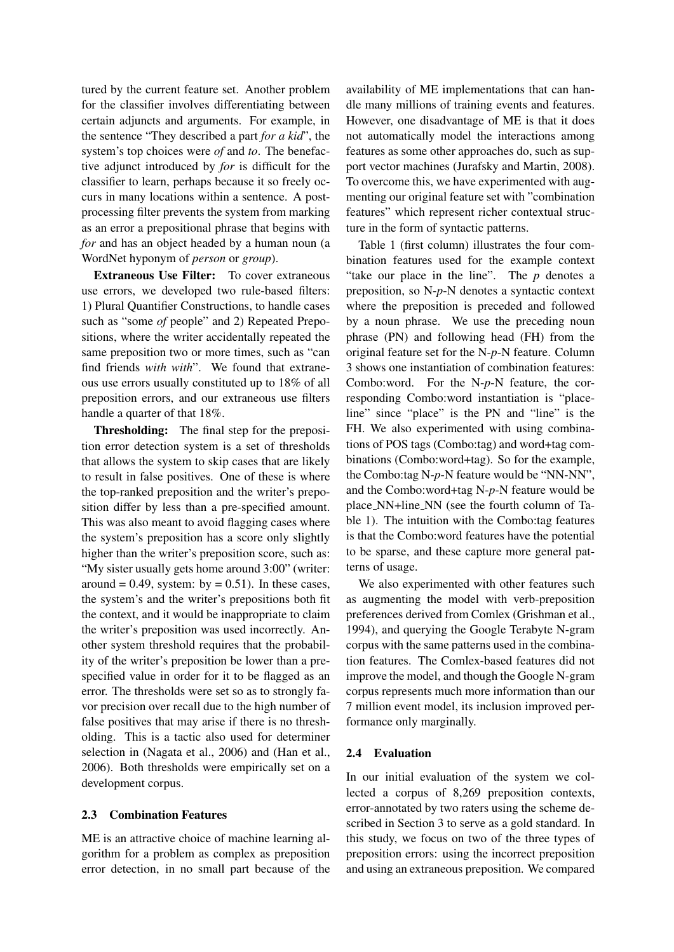tured by the current feature set. Another problem for the classifier involves differentiating between certain adjuncts and arguments. For example, in the sentence "They described a part *for a kid*", the system's top choices were *of* and *to*. The benefactive adjunct introduced by *for* is difficult for the classifier to learn, perhaps because it so freely occurs in many locations within a sentence. A postprocessing filter prevents the system from marking as an error a prepositional phrase that begins with *for* and has an object headed by a human noun (a WordNet hyponym of *person* or *group*).

Extraneous Use Filter: To cover extraneous use errors, we developed two rule-based filters: 1) Plural Quantifier Constructions, to handle cases such as "some *of* people" and 2) Repeated Prepositions, where the writer accidentally repeated the same preposition two or more times, such as "can find friends *with with*". We found that extraneous use errors usually constituted up to 18% of all preposition errors, and our extraneous use filters handle a quarter of that 18%.

Thresholding: The final step for the preposition error detection system is a set of thresholds that allows the system to skip cases that are likely to result in false positives. One of these is where the top-ranked preposition and the writer's preposition differ by less than a pre-specified amount. This was also meant to avoid flagging cases where the system's preposition has a score only slightly higher than the writer's preposition score, such as: "My sister usually gets home around 3:00" (writer: around = 0.49, system: by = 0.51). In these cases, the system's and the writer's prepositions both fit the context, and it would be inappropriate to claim the writer's preposition was used incorrectly. Another system threshold requires that the probability of the writer's preposition be lower than a prespecified value in order for it to be flagged as an error. The thresholds were set so as to strongly favor precision over recall due to the high number of false positives that may arise if there is no thresholding. This is a tactic also used for determiner selection in (Nagata et al., 2006) and (Han et al., 2006). Both thresholds were empirically set on a development corpus.

## 2.3 Combination Features

ME is an attractive choice of machine learning algorithm for a problem as complex as preposition error detection, in no small part because of the availability of ME implementations that can handle many millions of training events and features. However, one disadvantage of ME is that it does not automatically model the interactions among features as some other approaches do, such as support vector machines (Jurafsky and Martin, 2008). To overcome this, we have experimented with augmenting our original feature set with "combination features" which represent richer contextual structure in the form of syntactic patterns.

Table 1 (first column) illustrates the four combination features used for the example context "take our place in the line". The *p* denotes a preposition, so N-*p*-N denotes a syntactic context where the preposition is preceded and followed by a noun phrase. We use the preceding noun phrase (PN) and following head (FH) from the original feature set for the N-*p*-N feature. Column 3 shows one instantiation of combination features: Combo:word. For the N-*p*-N feature, the corresponding Combo:word instantiation is "placeline" since "place" is the PN and "line" is the FH. We also experimented with using combinations of POS tags (Combo:tag) and word+tag combinations (Combo:word+tag). So for the example, the Combo:tag N-*p*-N feature would be "NN-NN", and the Combo:word+tag N-*p*-N feature would be place NN+line NN (see the fourth column of Table 1). The intuition with the Combo:tag features is that the Combo:word features have the potential to be sparse, and these capture more general patterns of usage.

We also experimented with other features such as augmenting the model with verb-preposition preferences derived from Comlex (Grishman et al., 1994), and querying the Google Terabyte N-gram corpus with the same patterns used in the combination features. The Comlex-based features did not improve the model, and though the Google N-gram corpus represents much more information than our 7 million event model, its inclusion improved performance only marginally.

#### 2.4 Evaluation

In our initial evaluation of the system we collected a corpus of 8,269 preposition contexts, error-annotated by two raters using the scheme described in Section 3 to serve as a gold standard. In this study, we focus on two of the three types of preposition errors: using the incorrect preposition and using an extraneous preposition. We compared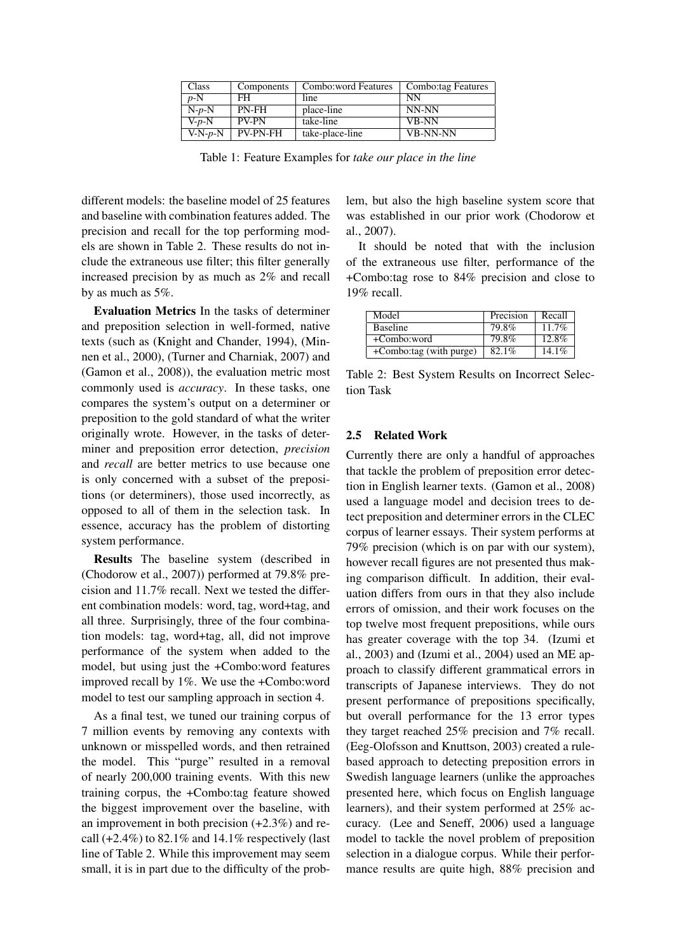| Class     | Components      | Combo: word Features | Combo:tag Features |
|-----------|-----------------|----------------------|--------------------|
| $p-N$     | FH.             | line                 | NN                 |
| $N-p-N$   | PN-FH           | place-line           | NN-NN              |
| $V-p-N$   | <b>PV-PN</b>    | take-line            | <b>VB-NN</b>       |
| $V-N-p-N$ | <b>PV-PN-FH</b> | take-place-line      | <b>VB-NN-NN</b>    |

Table 1: Feature Examples for *take our place in the line*

different models: the baseline model of 25 features and baseline with combination features added. The precision and recall for the top performing models are shown in Table 2. These results do not include the extraneous use filter; this filter generally increased precision by as much as 2% and recall by as much as 5%.

Evaluation Metrics In the tasks of determiner and preposition selection in well-formed, native texts (such as (Knight and Chander, 1994), (Minnen et al., 2000), (Turner and Charniak, 2007) and (Gamon et al., 2008)), the evaluation metric most commonly used is *accuracy*. In these tasks, one compares the system's output on a determiner or preposition to the gold standard of what the writer originally wrote. However, in the tasks of determiner and preposition error detection, *precision* and *recall* are better metrics to use because one is only concerned with a subset of the prepositions (or determiners), those used incorrectly, as opposed to all of them in the selection task. In essence, accuracy has the problem of distorting system performance.

Results The baseline system (described in (Chodorow et al., 2007)) performed at 79.8% precision and 11.7% recall. Next we tested the different combination models: word, tag, word+tag, and all three. Surprisingly, three of the four combination models: tag, word+tag, all, did not improve performance of the system when added to the model, but using just the +Combo:word features improved recall by 1%. We use the +Combo:word model to test our sampling approach in section 4.

As a final test, we tuned our training corpus of 7 million events by removing any contexts with unknown or misspelled words, and then retrained the model. This "purge" resulted in a removal of nearly 200,000 training events. With this new training corpus, the +Combo:tag feature showed the biggest improvement over the baseline, with an improvement in both precision (+2.3%) and recall  $(+2.4\%)$  to 82.1% and 14.1% respectively (last line of Table 2. While this improvement may seem small, it is in part due to the difficulty of the problem, but also the high baseline system score that was established in our prior work (Chodorow et al., 2007).

It should be noted that with the inclusion of the extraneous use filter, performance of the +Combo:tag rose to 84% precision and close to 19% recall.

| Model                   | Precision | Recall   |
|-------------------------|-----------|----------|
| <b>Baseline</b>         | 79.8%     | $11.7\%$ |
| +Combo:word             | 79.8%     | 12.8%    |
| +Combo:tag (with purge) | 82.1%     | $14.1\%$ |

Table 2: Best System Results on Incorrect Selection Task

#### 2.5 Related Work

Currently there are only a handful of approaches that tackle the problem of preposition error detection in English learner texts. (Gamon et al., 2008) used a language model and decision trees to detect preposition and determiner errors in the CLEC corpus of learner essays. Their system performs at 79% precision (which is on par with our system), however recall figures are not presented thus making comparison difficult. In addition, their evaluation differs from ours in that they also include errors of omission, and their work focuses on the top twelve most frequent prepositions, while ours has greater coverage with the top 34. (Izumi et al., 2003) and (Izumi et al., 2004) used an ME approach to classify different grammatical errors in transcripts of Japanese interviews. They do not present performance of prepositions specifically, but overall performance for the 13 error types they target reached 25% precision and 7% recall. (Eeg-Olofsson and Knuttson, 2003) created a rulebased approach to detecting preposition errors in Swedish language learners (unlike the approaches presented here, which focus on English language learners), and their system performed at 25% accuracy. (Lee and Seneff, 2006) used a language model to tackle the novel problem of preposition selection in a dialogue corpus. While their performance results are quite high, 88% precision and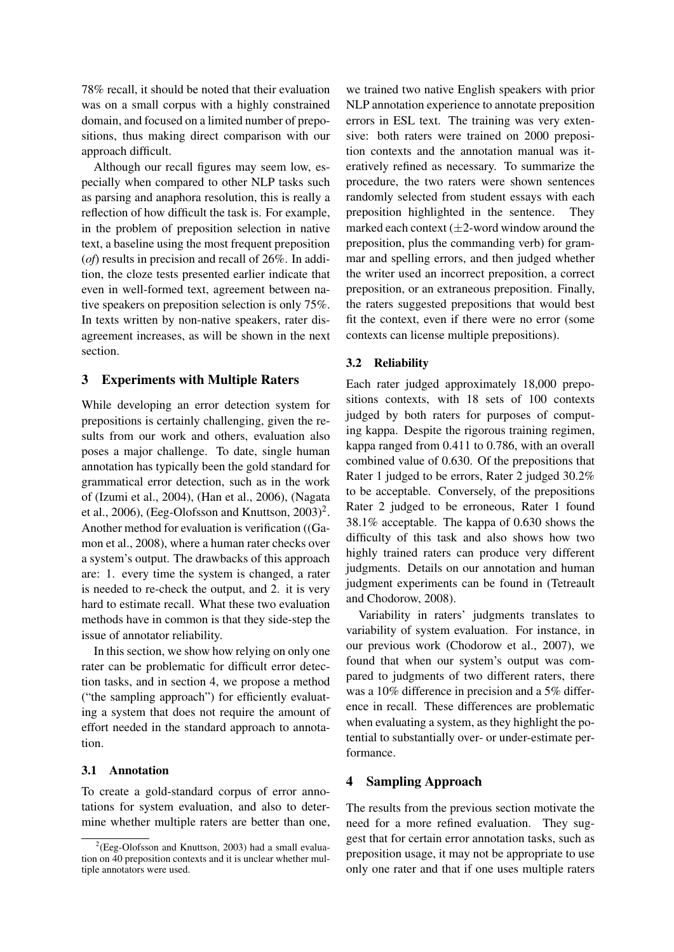78% recall, it should be noted that their evaluation was on a small corpus with a highly constrained domain, and focused on a limited number of prepositions, thus making direct comparison with our approach difficult.

Although our recall figures may seem low, especially when compared to other NLP tasks such as parsing and anaphora resolution, this is really a reflection of how difficult the task is. For example, in the problem of preposition selection in native text, a baseline using the most frequent preposition (*of*) results in precision and recall of 26%. In addition, the cloze tests presented earlier indicate that even in well-formed text, agreement between native speakers on preposition selection is only 75%. In texts written by non-native speakers, rater disagreement increases, as will be shown in the next section.

### 3 Experiments with Multiple Raters

While developing an error detection system for prepositions is certainly challenging, given the results from our work and others, evaluation also poses a major challenge. To date, single human annotation has typically been the gold standard for grammatical error detection, such as in the work of (Izumi et al., 2004), (Han et al., 2006), (Nagata et al., 2006), (Eeg-Olofsson and Knuttson,  $2003$ )<sup>2</sup>. Another method for evaluation is verification ((Gamon et al., 2008), where a human rater checks over a system's output. The drawbacks of this approach are: 1. every time the system is changed, a rater is needed to re-check the output, and 2. it is very hard to estimate recall. What these two evaluation methods have in common is that they side-step the issue of annotator reliability.

In this section, we show how relying on only one rater can be problematic for difficult error detection tasks, and in section 4, we propose a method ("the sampling approach") for efficiently evaluating a system that does not require the amount of effort needed in the standard approach to annotation.

#### 3.1 Annotation

To create a gold-standard corpus of error annotations for system evaluation, and also to determine whether multiple raters are better than one, we trained two native English speakers with prior NLP annotation experience to annotate preposition errors in ESL text. The training was very extensive: both raters were trained on 2000 preposition contexts and the annotation manual was iteratively refined as necessary. To summarize the procedure, the two raters were shown sentences randomly selected from student essays with each preposition highlighted in the sentence. They marked each context  $(\pm 2$ -word window around the preposition, plus the commanding verb) for grammar and spelling errors, and then judged whether the writer used an incorrect preposition, a correct preposition, or an extraneous preposition. Finally, the raters suggested prepositions that would best fit the context, even if there were no error (some contexts can license multiple prepositions).

#### 3.2 Reliability

Each rater judged approximately 18,000 prepositions contexts, with 18 sets of 100 contexts judged by both raters for purposes of computing kappa. Despite the rigorous training regimen, kappa ranged from 0.411 to 0.786, with an overall combined value of 0.630. Of the prepositions that Rater 1 judged to be errors, Rater 2 judged 30.2% to be acceptable. Conversely, of the prepositions Rater 2 judged to be erroneous, Rater 1 found 38.1% acceptable. The kappa of 0.630 shows the difficulty of this task and also shows how two highly trained raters can produce very different judgments. Details on our annotation and human judgment experiments can be found in (Tetreault and Chodorow, 2008).

Variability in raters' judgments translates to variability of system evaluation. For instance, in our previous work (Chodorow et al., 2007), we found that when our system's output was compared to judgments of two different raters, there was a 10% difference in precision and a 5% difference in recall. These differences are problematic when evaluating a system, as they highlight the potential to substantially over- or under-estimate performance.

#### 4 Sampling Approach

The results from the previous section motivate the need for a more refined evaluation. They suggest that for certain error annotation tasks, such as preposition usage, it may not be appropriate to use only one rater and that if one uses multiple raters

 $2$ (Eeg-Olofsson and Knuttson, 2003) had a small evaluation on 40 preposition contexts and it is unclear whether multiple annotators were used.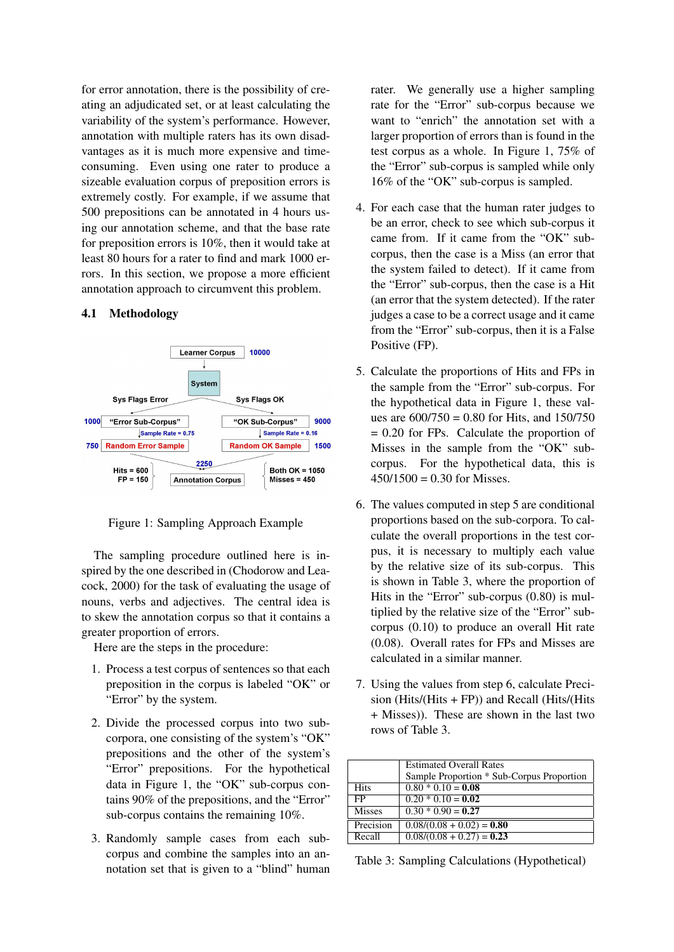for error annotation, there is the possibility of creating an adjudicated set, or at least calculating the variability of the system's performance. However, annotation with multiple raters has its own disadvantages as it is much more expensive and timeconsuming. Even using one rater to produce a sizeable evaluation corpus of preposition errors is extremely costly. For example, if we assume that 500 prepositions can be annotated in 4 hours using our annotation scheme, and that the base rate for preposition errors is 10%, then it would take at least 80 hours for a rater to find and mark 1000 errors. In this section, we propose a more efficient annotation approach to circumvent this problem.

#### 4.1 Methodology



Figure 1: Sampling Approach Example

The sampling procedure outlined here is inspired by the one described in (Chodorow and Leacock, 2000) for the task of evaluating the usage of nouns, verbs and adjectives. The central idea is to skew the annotation corpus so that it contains a greater proportion of errors.

Here are the steps in the procedure:

- 1. Process a test corpus of sentences so that each preposition in the corpus is labeled "OK" or "Error" by the system.
- 2. Divide the processed corpus into two subcorpora, one consisting of the system's "OK" prepositions and the other of the system's "Error" prepositions. For the hypothetical data in Figure 1, the "OK" sub-corpus contains 90% of the prepositions, and the "Error" sub-corpus contains the remaining 10%.
- 3. Randomly sample cases from each subcorpus and combine the samples into an annotation set that is given to a "blind" human

rater. We generally use a higher sampling rate for the "Error" sub-corpus because we want to "enrich" the annotation set with a larger proportion of errors than is found in the test corpus as a whole. In Figure 1, 75% of the "Error" sub-corpus is sampled while only 16% of the "OK" sub-corpus is sampled.

- 4. For each case that the human rater judges to be an error, check to see which sub-corpus it came from. If it came from the "OK" subcorpus, then the case is a Miss (an error that the system failed to detect). If it came from the "Error" sub-corpus, then the case is a Hit (an error that the system detected). If the rater judges a case to be a correct usage and it came from the "Error" sub-corpus, then it is a False Positive (FP).
- 5. Calculate the proportions of Hits and FPs in the sample from the "Error" sub-corpus. For the hypothetical data in Figure 1, these values are  $600/750 = 0.80$  for Hits, and  $150/750$ = 0.20 for FPs. Calculate the proportion of Misses in the sample from the "OK" subcorpus. For the hypothetical data, this is  $450/1500 = 0.30$  for Misses.
- 6. The values computed in step 5 are conditional proportions based on the sub-corpora. To calculate the overall proportions in the test corpus, it is necessary to multiply each value by the relative size of its sub-corpus. This is shown in Table 3, where the proportion of Hits in the "Error" sub-corpus (0.80) is multiplied by the relative size of the "Error" subcorpus (0.10) to produce an overall Hit rate (0.08). Overall rates for FPs and Misses are calculated in a similar manner.
- 7. Using the values from step 6, calculate Precision (Hits/(Hits + FP)) and Recall (Hits/(Hits + Misses)). These are shown in the last two rows of Table 3.

|               | <b>Estimated Overall Rates</b>            |  |
|---------------|-------------------------------------------|--|
|               | Sample Proportion * Sub-Corpus Proportion |  |
| <b>Hits</b>   | $0.80 * 0.10 = 0.08$                      |  |
| FP.           | $0.20 * 0.10 = 0.02$                      |  |
| <b>Misses</b> | $0.30 * 0.90 = 0.27$                      |  |
| Precision     | $0.08/(0.08 + 0.02) = 0.80$               |  |
| Recall        | $0.08/(0.08 + 0.27) = 0.23$               |  |

Table 3: Sampling Calculations (Hypothetical)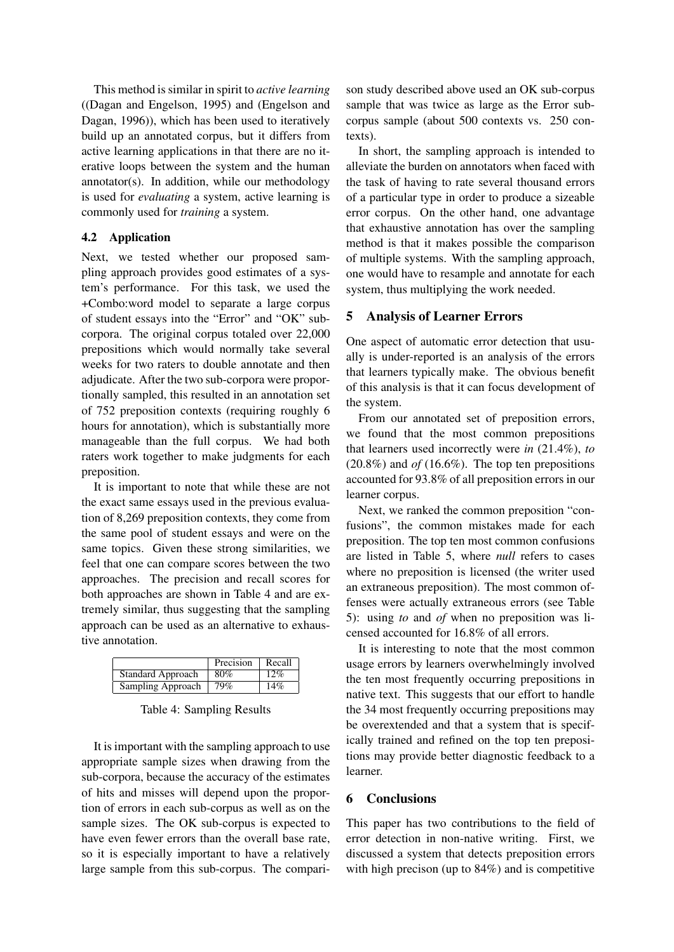This method is similar in spirit to *active learning* ((Dagan and Engelson, 1995) and (Engelson and Dagan, 1996)), which has been used to iteratively build up an annotated corpus, but it differs from active learning applications in that there are no iterative loops between the system and the human annotator(s). In addition, while our methodology is used for *evaluating* a system, active learning is commonly used for *training* a system.

### 4.2 Application

Next, we tested whether our proposed sampling approach provides good estimates of a system's performance. For this task, we used the +Combo:word model to separate a large corpus of student essays into the "Error" and "OK" subcorpora. The original corpus totaled over 22,000 prepositions which would normally take several weeks for two raters to double annotate and then adjudicate. After the two sub-corpora were proportionally sampled, this resulted in an annotation set of 752 preposition contexts (requiring roughly 6 hours for annotation), which is substantially more manageable than the full corpus. We had both raters work together to make judgments for each preposition.

It is important to note that while these are not the exact same essays used in the previous evaluation of 8,269 preposition contexts, they come from the same pool of student essays and were on the same topics. Given these strong similarities, we feel that one can compare scores between the two approaches. The precision and recall scores for both approaches are shown in Table 4 and are extremely similar, thus suggesting that the sampling approach can be used as an alternative to exhaustive annotation.

|                          | Precision | Recall |
|--------------------------|-----------|--------|
| <b>Standard Approach</b> | 80%       | 12%    |
| Sampling Approach        | 79%       | 14%    |

Table 4: Sampling Results

It is important with the sampling approach to use appropriate sample sizes when drawing from the sub-corpora, because the accuracy of the estimates of hits and misses will depend upon the proportion of errors in each sub-corpus as well as on the sample sizes. The OK sub-corpus is expected to have even fewer errors than the overall base rate, so it is especially important to have a relatively large sample from this sub-corpus. The comparison study described above used an OK sub-corpus sample that was twice as large as the Error subcorpus sample (about 500 contexts vs. 250 contexts).

In short, the sampling approach is intended to alleviate the burden on annotators when faced with the task of having to rate several thousand errors of a particular type in order to produce a sizeable error corpus. On the other hand, one advantage that exhaustive annotation has over the sampling method is that it makes possible the comparison of multiple systems. With the sampling approach, one would have to resample and annotate for each system, thus multiplying the work needed.

### 5 Analysis of Learner Errors

One aspect of automatic error detection that usually is under-reported is an analysis of the errors that learners typically make. The obvious benefit of this analysis is that it can focus development of the system.

From our annotated set of preposition errors, we found that the most common prepositions that learners used incorrectly were *in* (21.4%), *to* (20.8%) and *of* (16.6%). The top ten prepositions accounted for 93.8% of all preposition errors in our learner corpus.

Next, we ranked the common preposition "confusions", the common mistakes made for each preposition. The top ten most common confusions are listed in Table 5, where *null* refers to cases where no preposition is licensed (the writer used an extraneous preposition). The most common offenses were actually extraneous errors (see Table 5): using *to* and *of* when no preposition was licensed accounted for 16.8% of all errors.

It is interesting to note that the most common usage errors by learners overwhelmingly involved the ten most frequently occurring prepositions in native text. This suggests that our effort to handle the 34 most frequently occurring prepositions may be overextended and that a system that is specifically trained and refined on the top ten prepositions may provide better diagnostic feedback to a learner.

# 6 Conclusions

This paper has two contributions to the field of error detection in non-native writing. First, we discussed a system that detects preposition errors with high precison (up to 84%) and is competitive